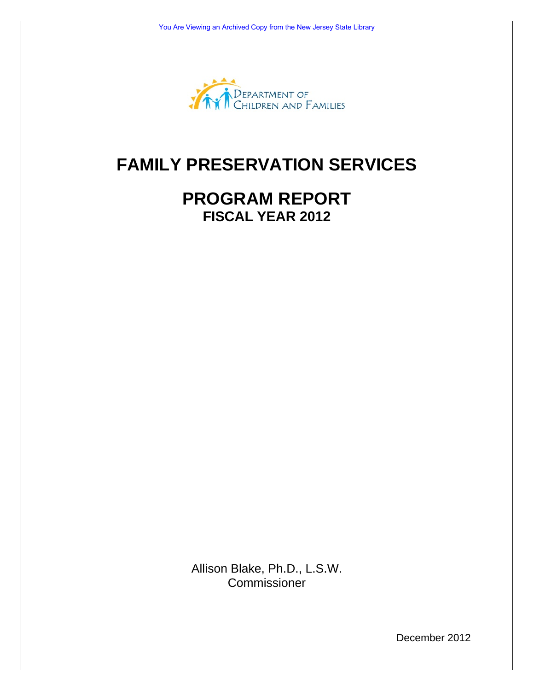

# **FAMILY PRESERVATION SERVICES**

## **PROGRAM REPORT FISCAL YEAR 2012**

Allison Blake, Ph.D., L.S.W. **Commissioner** 

December 2012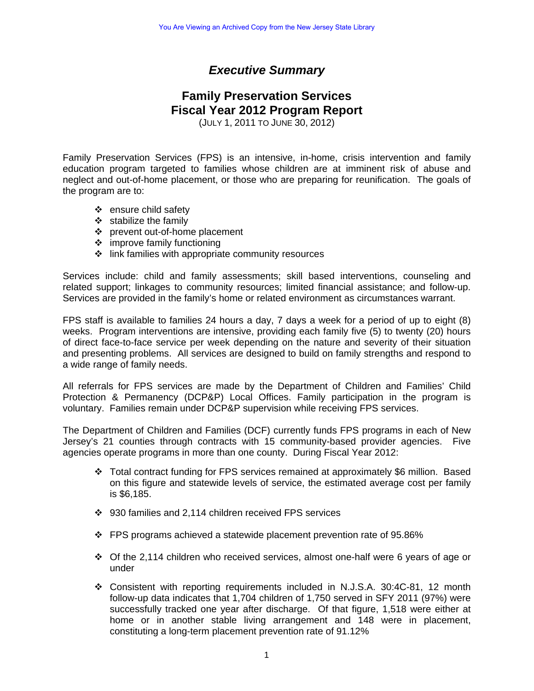## *Executive Summary*

## **Family Preservation Services Fiscal Year 2012 Program Report**

(JULY 1, 2011 TO JUNE 30, 2012)

Family Preservation Services (FPS) is an intensive, in-home, crisis intervention and family education program targeted to families whose children are at imminent risk of abuse and neglect and out-of-home placement, or those who are preparing for reunification. The goals of the program are to:

- $\div$  ensure child safety
- $\div$  stabilize the family
- ❖ prevent out-of-home placement
- $\div$  improve family functioning
- $\div$  link families with appropriate community resources

Services include: child and family assessments; skill based interventions, counseling and related support; linkages to community resources; limited financial assistance; and follow-up. Services are provided in the family's home or related environment as circumstances warrant.

FPS staff is available to families 24 hours a day, 7 days a week for a period of up to eight (8) weeks. Program interventions are intensive, providing each family five (5) to twenty (20) hours of direct face-to-face service per week depending on the nature and severity of their situation and presenting problems. All services are designed to build on family strengths and respond to a wide range of family needs.

All referrals for FPS services are made by the Department of Children and Families' Child Protection & Permanency (DCP&P) Local Offices. Family participation in the program is voluntary. Families remain under DCP&P supervision while receiving FPS services.

The Department of Children and Families (DCF) currently funds FPS programs in each of New Jersey's 21 counties through contracts with 15 community-based provider agencies. Five agencies operate programs in more than one county. During Fiscal Year 2012:

- Total contract funding for FPS services remained at approximately \$6 million. Based on this figure and statewide levels of service, the estimated average cost per family is \$6,185.
- 930 families and 2,114 children received FPS services
- $\div$  FPS programs achieved a statewide placement prevention rate of 95.86%
- $\div$  Of the 2,114 children who received services, almost one-half were 6 years of age or under
- Consistent with reporting requirements included in N.J.S.A. 30:4C-81, 12 month follow-up data indicates that 1,704 children of 1,750 served in SFY 2011 (97%) were successfully tracked one year after discharge. Of that figure, 1,518 were either at home or in another stable living arrangement and 148 were in placement, constituting a long-term placement prevention rate of 91.12%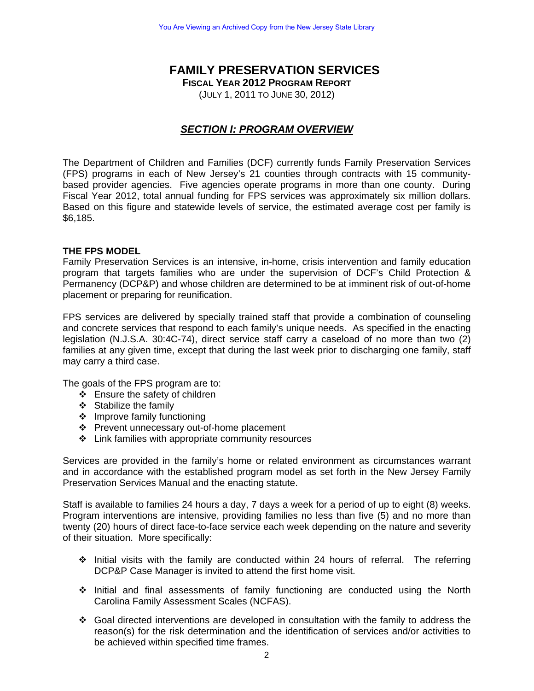## **FAMILY PRESERVATION SERVICES**

**FISCAL YEAR 2012 PROGRAM REPORT**

(JULY 1, 2011 TO JUNE 30, 2012)

## *SECTION I: PROGRAM OVERVIEW*

The Department of Children and Families (DCF) currently funds Family Preservation Services (FPS) programs in each of New Jersey's 21 counties through contracts with 15 communitybased provider agencies. Five agencies operate programs in more than one county. During Fiscal Year 2012, total annual funding for FPS services was approximately six million dollars. Based on this figure and statewide levels of service, the estimated average cost per family is \$6,185.

#### **THE FPS MODEL**

Family Preservation Services is an intensive, in-home, crisis intervention and family education program that targets families who are under the supervision of DCF's Child Protection & Permanency (DCP&P) and whose children are determined to be at imminent risk of out-of-home placement or preparing for reunification.

FPS services are delivered by specially trained staff that provide a combination of counseling and concrete services that respond to each family's unique needs. As specified in the enacting legislation (N.J.S.A. 30:4C-74), direct service staff carry a caseload of no more than two (2) families at any given time, except that during the last week prior to discharging one family, staff may carry a third case.

The goals of the FPS program are to:

- Ensure the safety of children
- ❖ Stabilize the family
- $\div$  Improve family functioning
- Prevent unnecessary out-of-home placement
- Link families with appropriate community resources

Services are provided in the family's home or related environment as circumstances warrant and in accordance with the established program model as set forth in the New Jersey Family Preservation Services Manual and the enacting statute.

Staff is available to families 24 hours a day, 7 days a week for a period of up to eight (8) weeks. Program interventions are intensive, providing families no less than five (5) and no more than twenty (20) hours of direct face-to-face service each week depending on the nature and severity of their situation. More specifically:

- $\div$  Initial visits with the family are conducted within 24 hours of referral. The referring DCP&P Case Manager is invited to attend the first home visit.
- Initial and final assessments of family functioning are conducted using the North Carolina Family Assessment Scales (NCFAS).
- Goal directed interventions are developed in consultation with the family to address the reason(s) for the risk determination and the identification of services and/or activities to be achieved within specified time frames.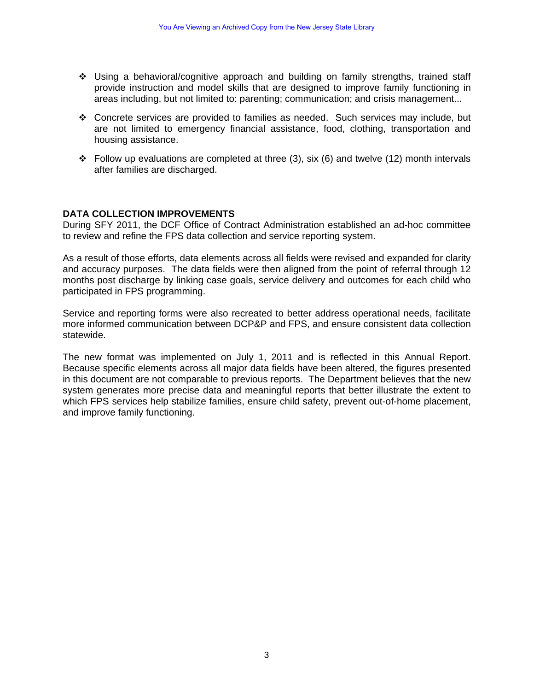- Using a behavioral/cognitive approach and building on family strengths, trained staff provide instruction and model skills that are designed to improve family functioning in areas including, but not limited to: parenting; communication; and crisis management...
- Concrete services are provided to families as needed. Such services may include, but are not limited to emergency financial assistance, food, clothing, transportation and housing assistance.
- $\div$  Follow up evaluations are completed at three (3), six (6) and twelve (12) month intervals after families are discharged.

#### **DATA COLLECTION IMPROVEMENTS**

During SFY 2011, the DCF Office of Contract Administration established an ad-hoc committee to review and refine the FPS data collection and service reporting system.

As a result of those efforts, data elements across all fields were revised and expanded for clarity and accuracy purposes. The data fields were then aligned from the point of referral through 12 months post discharge by linking case goals, service delivery and outcomes for each child who participated in FPS programming.

Service and reporting forms were also recreated to better address operational needs, facilitate more informed communication between DCP&P and FPS, and ensure consistent data collection statewide.

The new format was implemented on July 1, 2011 and is reflected in this Annual Report. Because specific elements across all major data fields have been altered, the figures presented in this document are not comparable to previous reports. The Department believes that the new system generates more precise data and meaningful reports that better illustrate the extent to which FPS services help stabilize families, ensure child safety, prevent out-of-home placement, and improve family functioning.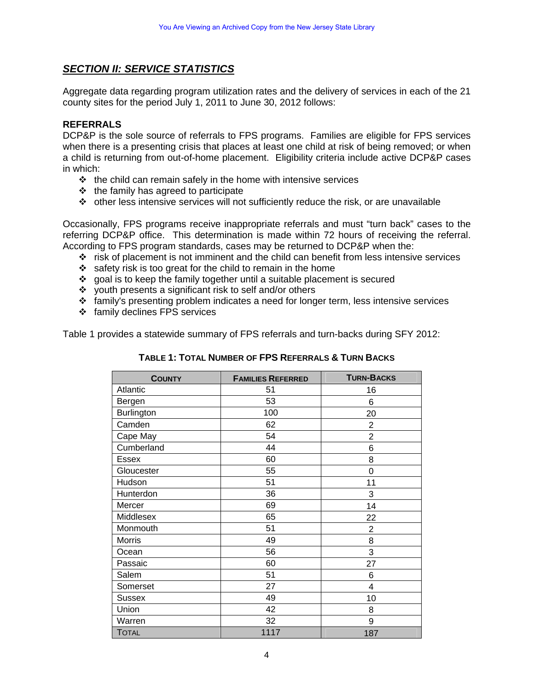### *SECTION II: SERVICE STATISTICS*

Aggregate data regarding program utilization rates and the delivery of services in each of the 21 county sites for the period July 1, 2011 to June 30, 2012 follows:

#### **REFERRALS**

DCP&P is the sole source of referrals to FPS programs. Families are eligible for FPS services when there is a presenting crisis that places at least one child at risk of being removed; or when a child is returning from out-of-home placement. Eligibility criteria include active DCP&P cases in which:

- $\div$  the child can remain safely in the home with intensive services
- $\div$  the family has agreed to participate
- $\cdot \cdot$  other less intensive services will not sufficiently reduce the risk, or are unavailable

Occasionally, FPS programs receive inappropriate referrals and must "turn back" cases to the referring DCP&P office. This determination is made within 72 hours of receiving the referral. According to FPS program standards, cases may be returned to DCP&P when the:

- $\cdot \cdot$  risk of placement is not imminent and the child can benefit from less intensive services
- $\cdot$  safety risk is too great for the child to remain in the home
- $\div$  goal is to keep the family together until a suitable placement is secured
- $\div$  youth presents a significant risk to self and/or others
- $\div$  family's presenting problem indicates a need for longer term, less intensive services
- family declines FPS services

Table 1 provides a statewide summary of FPS referrals and turn-backs during SFY 2012:

| <b>COUNTY</b> | <b>FAMILIES REFERRED</b> | <b>TURN-BACKS</b> |
|---------------|--------------------------|-------------------|
| Atlantic      | 51                       | 16                |
| Bergen        | 53                       | 6                 |
| Burlington    | 100                      | 20                |
| Camden        | 62                       | $\overline{2}$    |
| Cape May      | 54                       | $\overline{2}$    |
| Cumberland    | 44                       | 6                 |
| Essex         | 60                       | 8                 |
| Gloucester    | 55                       | 0                 |
| Hudson        | 51                       | 11                |
| Hunterdon     | 36                       | 3                 |
| Mercer        | 69                       | 14                |
| Middlesex     | 65                       | 22                |
| Monmouth      | 51                       | $\overline{2}$    |
| <b>Morris</b> | 49                       | 8                 |
| Ocean         | 56                       | 3                 |
| Passaic       | 60                       | 27                |
| Salem         | 51                       | 6                 |
| Somerset      | 27                       | 4                 |
| <b>Sussex</b> | 49                       | 10                |
| Union         | 42                       | 8                 |
| Warren        | 32                       | 9                 |
| <b>TOTAL</b>  | 1117                     | 187               |

#### **TABLE 1: TOTAL NUMBER OF FPS REFERRALS & TURN BACKS**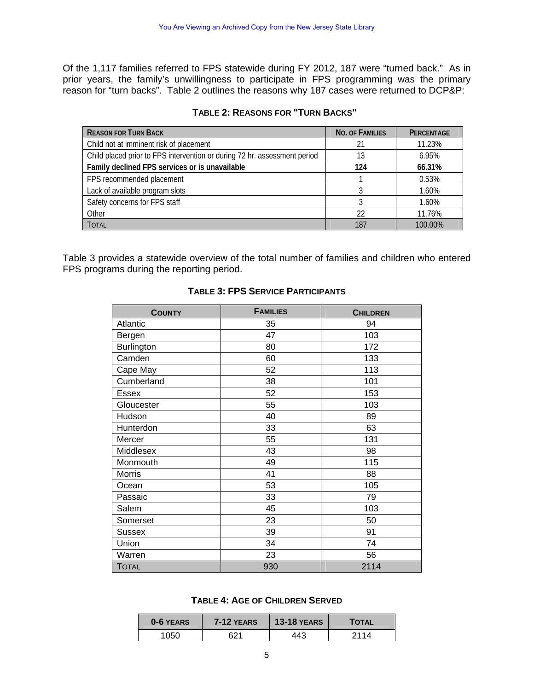Of the 1,117 families referred to FPS statewide during FY 2012, 187 were "turned back." As in prior years, the family's unwillingness to participate in FPS programming was the primary reason for "turn backs". Table 2 outlines the reasons why 187 cases were returned to DCP&P:

| <b>REASON FOR TURN BACK</b>                                               | <b>NO. OF FAMILIES</b> | <b>PERCENTAGE</b> |
|---------------------------------------------------------------------------|------------------------|-------------------|
| Child not at imminent risk of placement                                   | 21                     | 11.23%            |
| Child placed prior to FPS intervention or during 72 hr. assessment period | 13                     | 6.95%             |
| Family declined FPS services or is unavailable                            | 124                    | 66.31%            |
| FPS recommended placement                                                 |                        | 0.53%             |
| Lack of available program slots                                           |                        | 1.60%             |
| Safety concerns for FPS staff                                             |                        | 1.60%             |
| Other                                                                     | 22                     | 11.76%            |
| <b>TOTAL</b>                                                              | 187                    | 100.00%           |

#### **TABLE 2: REASONS FOR "TURN BACKS"**

Table 3 provides a statewide overview of the total number of families and children who entered FPS programs during the reporting period.

| <b>COUNTY</b>     | <b>FAMILIES</b> | <b>CHILDREN</b> |
|-------------------|-----------------|-----------------|
| Atlantic          | 35              | 94              |
| Bergen            | 47              | 103             |
| <b>Burlington</b> | 80              | 172             |
| Camden            | 60              | 133             |
| Cape May          | 52              | 113             |
| Cumberland        | 38              | 101             |
| <b>Essex</b>      | 52              | 153             |
| Gloucester        | 55              | 103             |
| Hudson            | 40              | 89              |
| Hunterdon         | 33              | 63              |
| Mercer            | 55              | 131             |
| Middlesex         | 43              | 98              |
| Monmouth          | 49              | 115             |
| <b>Morris</b>     | 41              | 88              |
| Ocean             | 53              | 105             |
| Passaic           | 33              | 79              |
| Salem             | 45              | 103             |
| Somerset          | 23              | 50              |
| <b>Sussex</b>     | 39              | 91              |
| Union             | 34              | 74              |
| Warren            | 23              | 56              |
| <b>TOTAL</b>      | 930             | 2114            |

#### **TABLE 3: FPS SERVICE PARTICIPANTS**

#### **TABLE 4: AGE OF CHILDREN SERVED**

| 0-6 YEARS | 7-12 YEARS | <b>13-18 YEARS</b> | TOTAL |
|-----------|------------|--------------------|-------|
| 1050      | 621        | 443                | 2114  |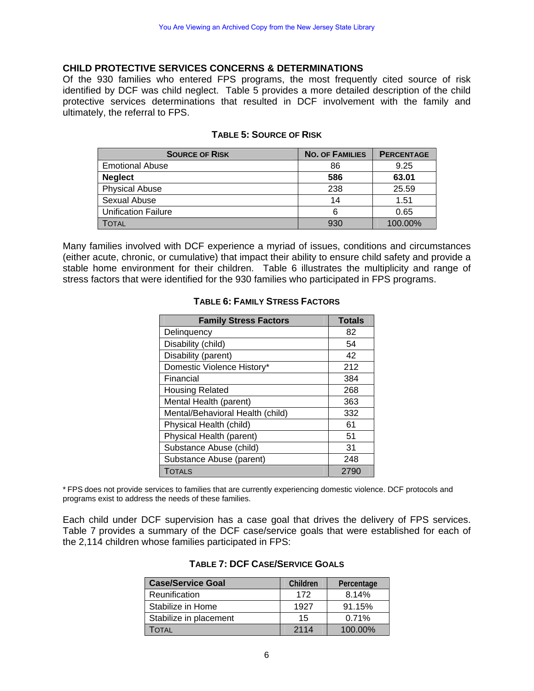#### **CHILD PROTECTIVE SERVICES CONCERNS & DETERMINATIONS**

Of the 930 families who entered FPS programs, the most frequently cited source of risk identified by DCF was child neglect. Table 5 provides a more detailed description of the child protective services determinations that resulted in DCF involvement with the family and ultimately, the referral to FPS.

| <b>SOURCE OF RISK</b>      | <b>NO. OF FAMILIES</b> | <b>PERCENTAGE</b> |
|----------------------------|------------------------|-------------------|
| <b>Emotional Abuse</b>     | 86                     | 9.25              |
| <b>Neglect</b>             | 586                    | 63.01             |
| <b>Physical Abuse</b>      | 238                    | 25.59             |
| Sexual Abuse               | 14                     | 1.51              |
| <b>Unification Failure</b> | 6                      | 0.65              |
| Total                      | 930                    | 100.00%           |

#### **TABLE 5: SOURCE OF RISK**

Many families involved with DCF experience a myriad of issues, conditions and circumstances (either acute, chronic, or cumulative) that impact their ability to ensure child safety and provide a stable home environment for their children. Table 6 illustrates the multiplicity and range of stress factors that were identified for the 930 families who participated in FPS programs.

| <b>Family Stress Factors</b>     | <b>Totals</b> |
|----------------------------------|---------------|
| Delinquency                      | 82            |
| Disability (child)               | 54            |
| Disability (parent)              | 42            |
| Domestic Violence History*       | 212           |
| Financial                        | 384           |
| <b>Housing Related</b>           | 268           |
| Mental Health (parent)           | 363           |
| Mental/Behavioral Health (child) | 332           |
| Physical Health (child)          | 61            |
| Physical Health (parent)         | 51            |
| Substance Abuse (child)          | 31            |
| Substance Abuse (parent)         | 248           |
| <b>TOTALS</b>                    | 2790          |

#### **TABLE 6: FAMILY STRESS FACTORS**

\* FPS does not provide services to families that are currently experiencing domestic violence. DCF protocols and programs exist to address the needs of these families.

Each child under DCF supervision has a case goal that drives the delivery of FPS services. Table 7 provides a summary of the DCF case/service goals that were established for each of the 2,114 children whose families participated in FPS:

| <b>Case/Service Goal</b> | Children | Percentage |
|--------------------------|----------|------------|
| Reunification            | 172      | 8.14%      |
| Stabilize in Home        | 1927     | 91.15%     |
| Stabilize in placement   | 15       | 0.71%      |
| ΓΟΤΑL                    | 2114     | 100.00%    |

#### **TABLE 7: DCF CASE/SERVICE GOALS**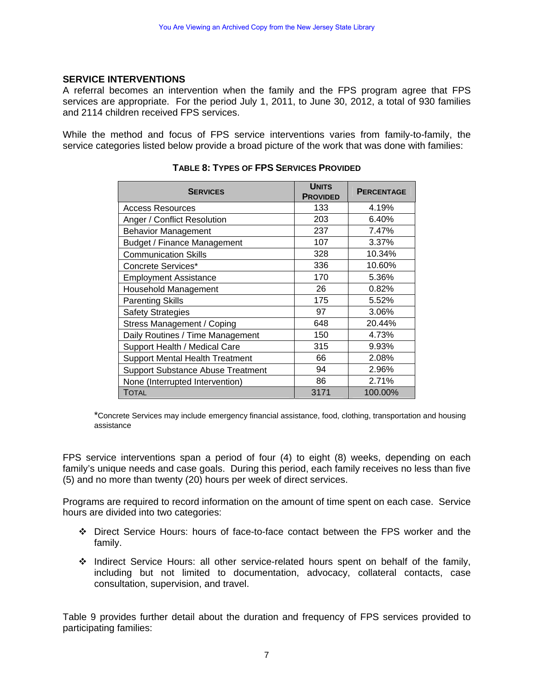#### **SERVICE INTERVENTIONS**

A referral becomes an intervention when the family and the FPS program agree that FPS services are appropriate. For the period July 1, 2011, to June 30, 2012, a total of 930 families and 2114 children received FPS services.

While the method and focus of FPS service interventions varies from family-to-family, the service categories listed below provide a broad picture of the work that was done with families:

| <b>SERVICES</b>                          | <b>UNITS</b><br><b>PROVIDED</b> | <b>PERCENTAGE</b> |
|------------------------------------------|---------------------------------|-------------------|
| <b>Access Resources</b>                  | 133                             | 4.19%             |
| Anger / Conflict Resolution              | 203                             | 6.40%             |
| <b>Behavior Management</b>               | 237                             | 7.47%             |
| <b>Budget / Finance Management</b>       | 107                             | 3.37%             |
| <b>Communication Skills</b>              | 328                             | 10.34%            |
| Concrete Services*                       | 336                             | 10.60%            |
| <b>Employment Assistance</b>             | 170                             | 5.36%             |
| Household Management                     | 26                              | 0.82%             |
| <b>Parenting Skills</b>                  | 175                             | 5.52%             |
| <b>Safety Strategies</b>                 | 97                              | 3.06%             |
| Stress Management / Coping               | 648                             | 20.44%            |
| Daily Routines / Time Management         | 150                             | 4.73%             |
| Support Health / Medical Care            | 315                             | 9.93%             |
| <b>Support Mental Health Treatment</b>   | 66                              | 2.08%             |
| <b>Support Substance Abuse Treatment</b> | 94                              | 2.96%             |
| None (Interrupted Intervention)          | 86                              | 2.71%             |
| Total                                    | 3171                            | 100.00%           |

**TABLE 8: TYPES OF FPS SERVICES PROVIDED**

\*Concrete Services may include emergency financial assistance, food, clothing, transportation and housing assistance

FPS service interventions span a period of four (4) to eight (8) weeks, depending on each family's unique needs and case goals. During this period, each family receives no less than five (5) and no more than twenty (20) hours per week of direct services.

Programs are required to record information on the amount of time spent on each case. Service hours are divided into two categories:

- Direct Service Hours: hours of face-to-face contact between the FPS worker and the family.
- $\div$  Indirect Service Hours: all other service-related hours spent on behalf of the family, including but not limited to documentation, advocacy, collateral contacts, case consultation, supervision, and travel.

Table 9 provides further detail about the duration and frequency of FPS services provided to participating families: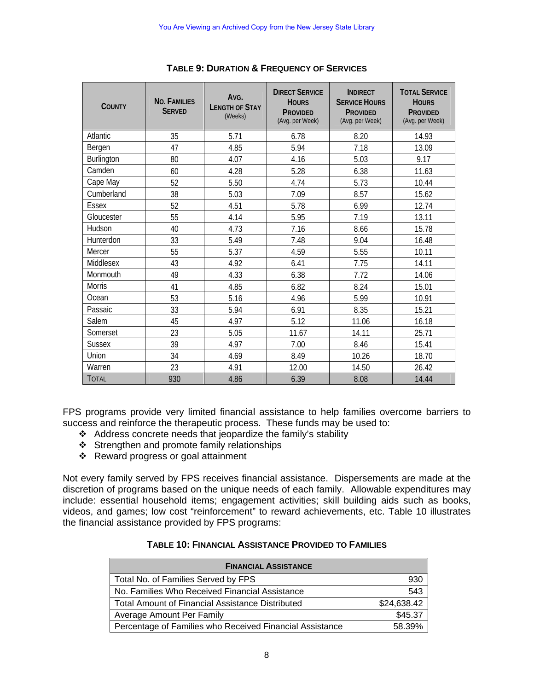| <b>COUNTY</b>   | <b>NO. FAMILIES</b><br><b>SERVED</b> | Avg.<br><b>I FNGTH OF STAY</b><br>(Weeks) | <b>DIRECT SERVICE</b><br><b>HOURS</b><br><b>PROVIDED</b><br>(Avg. per Week) | <b>INDIRECT</b><br><b>SERVICE HOURS</b><br><b>PROVIDED</b><br>(Avg. per Week) | <b>TOTAL SERVICE</b><br><b>HOURS</b><br><b>PROVIDED</b><br>(Avg. per Week) |
|-----------------|--------------------------------------|-------------------------------------------|-----------------------------------------------------------------------------|-------------------------------------------------------------------------------|----------------------------------------------------------------------------|
| <b>Atlantic</b> | 35                                   | 5.71                                      | 6.78                                                                        | 8.20                                                                          | 14.93                                                                      |
| Bergen          | 47                                   | 4.85                                      | 5.94                                                                        | 7.18                                                                          | 13.09                                                                      |
| Burlington      | 80                                   | 4.07                                      | 4.16                                                                        | 5.03                                                                          | 9.17                                                                       |
| Camden          | 60                                   | 4.28                                      | 5.28                                                                        | 6.38                                                                          | 11.63                                                                      |
| Cape May        | 52                                   | 5.50                                      | 4.74                                                                        | 5.73                                                                          | 10.44                                                                      |
| Cumberland      | 38                                   | 5.03                                      | 7.09                                                                        | 8.57                                                                          | 15.62                                                                      |
| <b>Essex</b>    | 52                                   | 4.51                                      | 5.78                                                                        | 6.99                                                                          | 12.74                                                                      |
| Gloucester      | 55                                   | 4.14                                      | 5.95                                                                        | 7.19                                                                          | 13.11                                                                      |
| Hudson          | 40                                   | 4.73                                      | 7.16                                                                        | 8.66                                                                          | 15.78                                                                      |
| Hunterdon       | 33                                   | 5.49                                      | 7.48                                                                        | 9.04                                                                          | 16.48                                                                      |
| Mercer          | 55                                   | 5.37                                      | 4.59                                                                        | 5.55                                                                          | 10.11                                                                      |
| Middlesex       | 43                                   | 4.92                                      | 6.41                                                                        | 7.75                                                                          | 14.11                                                                      |
| Monmouth        | 49                                   | 4.33                                      | 6.38                                                                        | 7.72                                                                          | 14.06                                                                      |
| <b>Morris</b>   | 41                                   | 4.85                                      | 6.82                                                                        | 8.24                                                                          | 15.01                                                                      |
| Ocean           | 53                                   | 5.16                                      | 4.96                                                                        | 5.99                                                                          | 10.91                                                                      |
| Passaic         | 33                                   | 5.94                                      | 6.91                                                                        | 8.35                                                                          | 15.21                                                                      |
| Salem           | 45                                   | 4.97                                      | 5.12                                                                        | 11.06                                                                         | 16.18                                                                      |
| Somerset        | 23                                   | 5.05                                      | 11.67                                                                       | 14.11                                                                         | 25.71                                                                      |
| <b>Sussex</b>   | 39                                   | 4.97                                      | 7.00                                                                        | 8.46                                                                          | 15.41                                                                      |
| Union           | 34                                   | 4.69                                      | 8.49                                                                        | 10.26                                                                         | 18.70                                                                      |
| Warren          | 23                                   | 4.91                                      | 12.00                                                                       | 14.50                                                                         | 26.42                                                                      |
| <b>TOTAL</b>    | 930                                  | 4.86                                      | 6.39                                                                        | 8.08                                                                          | 14.44                                                                      |

**TABLE 9: DURATION & FREQUENCY OF SERVICES**

FPS programs provide very limited financial assistance to help families overcome barriers to success and reinforce the therapeutic process. These funds may be used to:

- Address concrete needs that jeopardize the family's stability
- $\div$  Strengthen and promote family relationships
- Reward progress or goal attainment

Not every family served by FPS receives financial assistance. Dispersements are made at the discretion of programs based on the unique needs of each family. Allowable expenditures may include: essential household items; engagement activities; skill building aids such as books, videos, and games; low cost "reinforcement" to reward achievements, etc. Table 10 illustrates the financial assistance provided by FPS programs:

| TABLE 10: FINANCIAL ASSISTANCE PROVIDED TO FAMILIES |  |
|-----------------------------------------------------|--|
|-----------------------------------------------------|--|

| <b>FINANCIAL ASSISTANCE</b>                              |             |
|----------------------------------------------------------|-------------|
| Total No. of Families Served by FPS                      | 930         |
| No. Families Who Received Financial Assistance           | 543         |
| <b>Total Amount of Financial Assistance Distributed</b>  | \$24,638.42 |
| Average Amount Per Family                                | \$45.37     |
| Percentage of Families who Received Financial Assistance | 58.39%      |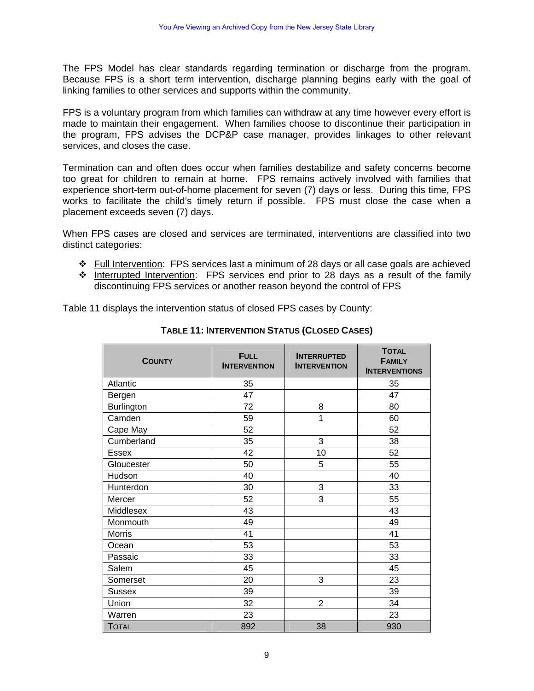The FPS Model has clear standards regarding termination or discharge from the program. Because FPS is a short term intervention, discharge planning begins early with the goal of linking families to other services and supports within the community.

FPS is a voluntary program from which families can withdraw at any time however every effort is made to maintain their engagement. When families choose to discontinue their participation in the program, FPS advises the DCP&P case manager, provides linkages to other relevant services, and closes the case.

Termination can and often does occur when families destabilize and safety concerns become too great for children to remain at home. FPS remains actively involved with families that experience short-term out-of-home placement for seven (7) days or less. During this time, FPS works to facilitate the child's timely return if possible. FPS must close the case when a placement exceeds seven (7) days.

When FPS cases are closed and services are terminated, interventions are classified into two distinct categories:

- Full Intervention: FPS services last a minimum of 28 days or all case goals are achieved
- $\cdot \cdot$  Interrupted Intervention: FPS services end prior to 28 days as a result of the family discontinuing FPS services or another reason beyond the control of FPS

Table 11 displays the intervention status of closed FPS cases by County:

| <b>COUNTY</b> | <b>FULL</b><br><b>INTERVENTION</b> | <b>INTERRUPTED</b><br><b>INTERVENTION</b> | <b>TOTAL</b><br><b>FAMILY</b><br><b>INTERVENTIONS</b> |
|---------------|------------------------------------|-------------------------------------------|-------------------------------------------------------|
| Atlantic      | 35                                 |                                           | 35                                                    |
| Bergen        | 47                                 |                                           | 47                                                    |
| Burlington    | 72                                 | 8                                         | 80                                                    |
| Camden        | 59                                 | 1                                         | 60                                                    |
| Cape May      | 52                                 |                                           | 52                                                    |
| Cumberland    | 35                                 | 3                                         | 38                                                    |
| <b>Essex</b>  | 42                                 | 10                                        | 52                                                    |
| Gloucester    | 50                                 | 5                                         | 55                                                    |
| Hudson        | 40                                 |                                           | 40                                                    |
| Hunterdon     | 30                                 | 3                                         | 33                                                    |
| Mercer        | 52                                 | 3                                         | 55                                                    |
| Middlesex     | 43                                 |                                           | 43                                                    |
| Monmouth      | 49                                 |                                           | 49                                                    |
| <b>Morris</b> | 41                                 |                                           | 41                                                    |
| Ocean         | 53                                 |                                           | 53                                                    |
| Passaic       | 33                                 |                                           | 33                                                    |
| Salem         | 45                                 |                                           | 45                                                    |
| Somerset      | 20                                 | 3                                         | 23                                                    |
| <b>Sussex</b> | 39                                 |                                           | 39                                                    |
| Union         | 32                                 | $\overline{2}$                            | 34                                                    |
| Warren        | 23                                 |                                           | 23                                                    |
| <b>TOTAL</b>  | 892                                | 38                                        | 930                                                   |

**TABLE 11: INTERVENTION STATUS (CLOSED CASES)**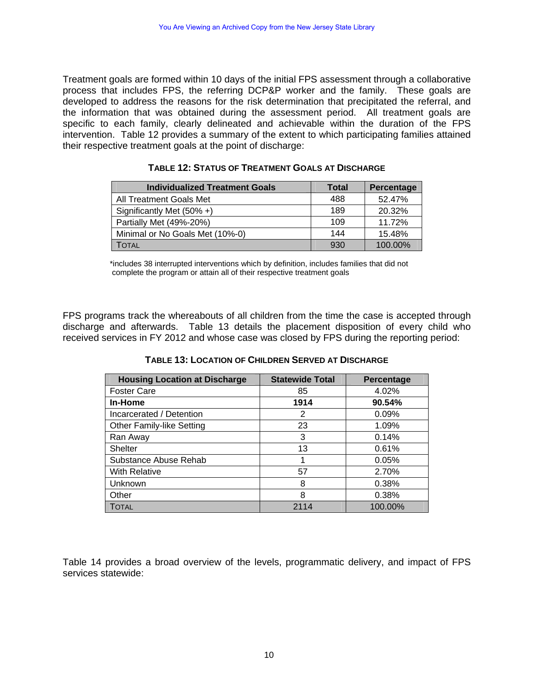Treatment goals are formed within 10 days of the initial FPS assessment through a collaborative process that includes FPS, the referring DCP&P worker and the family. These goals are developed to address the reasons for the risk determination that precipitated the referral, and the information that was obtained during the assessment period. All treatment goals are specific to each family, clearly delineated and achievable within the duration of the FPS intervention. Table 12 provides a summary of the extent to which participating families attained their respective treatment goals at the point of discharge:

| <b>Individualized Treatment Goals</b> | <b>Total</b> | Percentage |
|---------------------------------------|--------------|------------|
| All Treatment Goals Met               | 488          | 52.47%     |
| Significantly Met $(50\% +)$          | 189          | 20.32%     |
| Partially Met (49%-20%)               | 109          | 11.72%     |
| Minimal or No Goals Met (10%-0)       | 144          | 15.48%     |
| Total                                 | 930          | 100.00%    |

| TABLE 12: STATUS OF TREATMENT GOALS AT DISCHARGE |  |  |  |
|--------------------------------------------------|--|--|--|
|--------------------------------------------------|--|--|--|

\*includes 38 interrupted interventions which by definition, includes families that did not complete the program or attain all of their respective treatment goals

FPS programs track the whereabouts of all children from the time the case is accepted through discharge and afterwards. Table 13 details the placement disposition of every child who received services in FY 2012 and whose case was closed by FPS during the reporting period:

**TABLE 13: LOCATION OF CHILDREN SERVED AT DISCHARGE**

| <b>Housing Location at Discharge</b> | <b>Statewide Total</b> | Percentage |
|--------------------------------------|------------------------|------------|
| <b>Foster Care</b>                   | 85                     | 4.02%      |
| In-Home                              | 1914                   | 90.54%     |
| Incarcerated / Detention             | 2                      | 0.09%      |
| <b>Other Family-like Setting</b>     | 23                     | 1.09%      |
| Ran Away                             | 3                      | 0.14%      |
| <b>Shelter</b>                       | 13                     | 0.61%      |
| Substance Abuse Rehab                |                        | 0.05%      |
| <b>With Relative</b>                 | 57                     | 2.70%      |
| Unknown                              | 8                      | 0.38%      |
| Other                                | 8                      | 0.38%      |
| <b>TOTAL</b>                         | 2114                   | 100.00%    |

Table 14 provides a broad overview of the levels, programmatic delivery, and impact of FPS services statewide: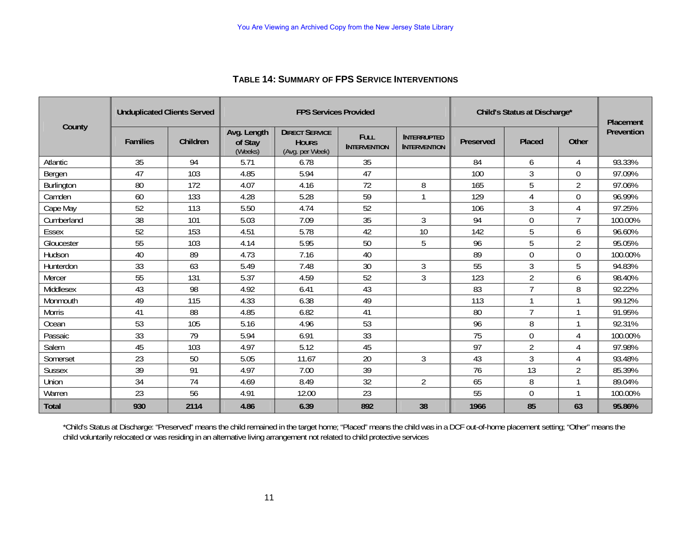| <b>Unduplicated Clients Served</b> |                 |          | <b>FPS Services Provided</b>      |                                                          |                                    |                                           | Child's Status at Discharge* |                |                           | <b>Placement</b> |
|------------------------------------|-----------------|----------|-----------------------------------|----------------------------------------------------------|------------------------------------|-------------------------------------------|------------------------------|----------------|---------------------------|------------------|
| County                             | <b>Families</b> | Children | Avg. Length<br>of Stay<br>(Weeks) | <b>DIRECT SERVICE</b><br><b>HOURS</b><br>(Avg. per Week) | <b>FULL</b><br><b>INTERVENTION</b> | <b>INTERRUPTED</b><br><b>INTERVENTION</b> | Preserved                    | <b>Placed</b>  | Other                     | Prevention       |
| Atlantic                           | 35              | 94       | 5.71                              | 6.78                                                     | 35                                 |                                           | 84                           | 6              | $\boldsymbol{\varLambda}$ | 93.33%           |
| Bergen                             | 47              | 103      | 4.85                              | 5.94                                                     | 47                                 |                                           | 100                          | $\mathfrak{Z}$ | $\overline{0}$            | 97.09%           |
| Burlington                         | 80              | 172      | 4.07                              | 4.16                                                     | 72                                 | 8                                         | 165                          | 5              | $\overline{2}$            | 97.06%           |
| Camden                             | 60              | 133      | 4.28                              | 5.28                                                     | 59                                 |                                           | 129                          | 4              | $\theta$                  | 96.99%           |
| Cape May                           | 52              | 113      | 5.50                              | 4.74                                                     | 52                                 |                                           | 106                          | 3              |                           | 97.25%           |
| Cumberland                         | 38              | 101      | 5.03                              | 7.09                                                     | 35                                 | 3                                         | 94                           | $\mathbf 0$    | $\mathbf{z}$              | 100.00%          |
| Essex                              | 52              | 153      | 4.51                              | 5.78                                                     | 42                                 | 10                                        | 142                          | 5              | 6                         | 96.60%           |
| Gloucester                         | 55              | 103      | 4.14                              | 5.95                                                     | 50                                 | 5                                         | 96                           | 5              | $\overline{2}$            | 95.05%           |
| Hudson                             | 40              | 89       | 4.73                              | 7.16                                                     | 40                                 |                                           | 89                           | 0              | $\Omega$                  | 100.00%          |
| Hunterdon                          | 33              | 63       | 5.49                              | 7.48                                                     | 30                                 | $\mathfrak{Z}$                            | 55                           | 3              | 5                         | 94.83%           |
| Mercer                             | 55              | 131      | 5.37                              | 4.59                                                     | 52                                 | 3                                         | 123                          | $\overline{2}$ | 6                         | 98.40%           |
| Middlesex                          | 43              | 98       | 4.92                              | 6.41                                                     | 43                                 |                                           | 83                           | ℸ              | 8                         | 92.22%           |
| Monmouth                           | 49              | 115      | 4.33                              | 6.38                                                     | 49                                 |                                           | 113                          |                | $\mathbf{1}$              | 99.12%           |
| <b>Morris</b>                      | 41              | 88       | 4.85                              | 6.82                                                     | 41                                 |                                           | 80                           | $\overline{7}$ | $\mathbf{1}$              | 91.95%           |
| Ocean                              | 53              | 105      | 5.16                              | 4.96                                                     | 53                                 |                                           | 96                           | 8              | $\mathbf{\overline{1}}$   | 92.31%           |
| Passaic                            | 33              | 79       | 5.94                              | 6.91                                                     | 33                                 |                                           | 75                           | $\mathbf 0$    |                           | 100.00%          |
| Salem                              | 45              | 103      | 4.97                              | 5.12                                                     | 45                                 |                                           | 97                           | $\overline{2}$ | $\Lambda$                 | 97.98%           |
| Somerset                           | 23              | 50       | 5.05                              | 11.67                                                    | 20                                 | 3                                         | 43                           | 3              |                           | 93.48%           |
| <b>Sussex</b>                      | 39              | 91       | 4.97                              | 7.00                                                     | 39                                 |                                           | 76                           | 13             | $\overline{2}$            | 85.39%           |
| Union                              | 34              | 74       | 4.69                              | 8.49                                                     | 32                                 | $\overline{2}$                            | 65                           | 8              |                           | 89.04%           |
| Warren                             | 23              | 56       | 4.91                              | 12.00                                                    | 23                                 |                                           | 55                           | $\theta$       |                           | 100.00%          |
| <b>Total</b>                       | 930             | 2114     | 4.86                              | 6.39                                                     | 892                                | 38                                        | 1966                         | 85             | 63                        | 95.86%           |

#### **TABLE 14: SUMMARY OF FPS SERVICE INTERVENTIONS**

\*Child's Status at Discharge: "Preserved" means the child remained in the target home; "Placed" means the child was in a DCF out-of-home placement setting; "Other" means the child voluntarily relocated or was residing in an alternative living arrangement not related to child protective services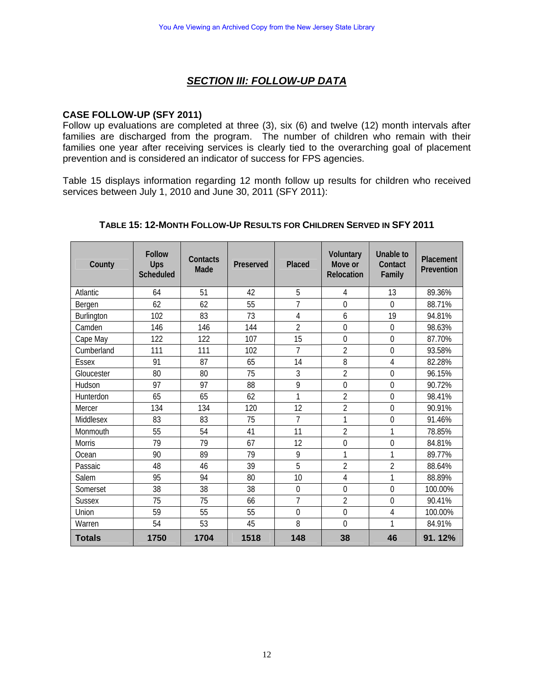### *SECTION III: FOLLOW-UP DATA*

#### **CASE FOLLOW-UP (SFY 2011)**

Follow up evaluations are completed at three (3), six (6) and twelve (12) month intervals after families are discharged from the program. The number of children who remain with their families one year after receiving services is clearly tied to the overarching goal of placement prevention and is considered an indicator of success for FPS agencies.

Table 15 displays information regarding 12 month follow up results for children who received services between July 1, 2010 and June 30, 2011 (SFY 2011):

| County        | <b>Follow</b><br>Ups<br><b>Scheduled</b> | Contacts<br>Made | Preserved | Placed         | <b>Voluntary</b><br>Move or<br>Relocation | Unable to<br>Contact<br>Family | Placement<br>Prevention |
|---------------|------------------------------------------|------------------|-----------|----------------|-------------------------------------------|--------------------------------|-------------------------|
| Atlantic      | 64                                       | 51               | 42        | 5              | 4                                         | 13                             | 89.36%                  |
| Bergen        | 62                                       | 62               | 55        | $\overline{7}$ | $\overline{0}$                            | $\overline{0}$                 | 88.71%                  |
| Burlington    | 102                                      | 83               | 73        | 4              | 6                                         | 19                             | 94.81%                  |
| Camden        | 146                                      | 146              | 144       | $\overline{2}$ | $\overline{0}$                            | $\overline{0}$                 | 98.63%                  |
| Cape May      | 122                                      | 122              | 107       | 15             | $\mathbf 0$                               | $\overline{0}$                 | 87.70%                  |
| Cumberland    | 111                                      | 111              | 102       | 7              | $\overline{2}$                            | $\overline{0}$                 | 93.58%                  |
| <b>Essex</b>  | 91                                       | 87               | 65        | 14             | 8                                         | 4                              | 82.28%                  |
| Gloucester    | 80                                       | 80               | 75        | 3              | $\overline{2}$                            | $\overline{0}$                 | 96.15%                  |
| Hudson        | 97                                       | 97               | 88        | 9              | $\mathbf 0$                               | $\mathbf 0$                    | 90.72%                  |
| Hunterdon     | 65                                       | 65               | 62        | 1              | $\overline{2}$                            | $\overline{0}$                 | 98.41%                  |
| Mercer        | 134                                      | 134              | 120       | 12             | $\overline{2}$                            | $\overline{0}$                 | 90.91%                  |
| Middlesex     | 83                                       | 83               | 75        | $\overline{7}$ | $\mathbf{1}$                              | $\mathbf 0$                    | 91.46%                  |
| Monmouth      | 55                                       | 54               | 41        | 11             | $\overline{2}$                            | 1                              | 78.85%                  |
| <b>Morris</b> | 79                                       | 79               | 67        | 12             | $\mathbf 0$                               | $\overline{0}$                 | 84.81%                  |
| Ocean         | 90                                       | 89               | 79        | 9              | 1                                         | 1                              | 89.77%                  |
| Passaic       | 48                                       | 46               | 39        | 5              | $\overline{2}$                            | $\overline{2}$                 | 88.64%                  |
| Salem         | 95                                       | 94               | 80        | 10             | 4                                         | 1                              | 88.89%                  |
| Somerset      | 38                                       | 38               | 38        | $\mathbf{0}$   | $\overline{0}$                            | $\overline{0}$                 | 100.00%                 |
| <b>Sussex</b> | 75                                       | 75               | 66        | $\overline{7}$ | $\overline{2}$                            | $\overline{0}$                 | 90.41%                  |
| Union         | 59                                       | 55               | 55        | $\theta$       | 0                                         | 4                              | 100.00%                 |
| Warren        | 54                                       | 53               | 45        | 8              | $\overline{0}$                            | 1                              | 84.91%                  |
| <b>Totals</b> | 1750                                     | 1704             | 1518      | 148            | 38                                        | 46                             | 91.12%                  |

#### **TABLE 15: 12-MONTH FOLLOW-UP RESULTS FOR CHILDREN SERVED IN SFY 2011**